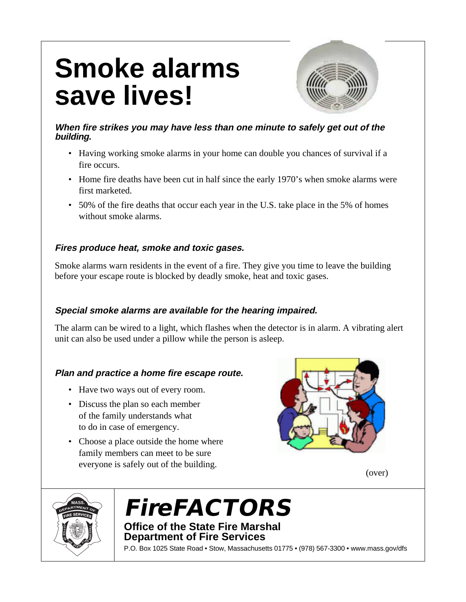# **Smoke alarms save lives!**



## **When fire strikes you may have less than one minute to safely get out of the building.**

- Having working smoke alarms in your home can double you chances of survival if a fire occurs.
- Home fire deaths have been cut in half since the early 1970's when smoke alarms were first marketed.
- 50% of the fire deaths that occur each year in the U.S. take place in the 5% of homes without smoke alarms.

# **Fires produce heat, smoke and toxic gases.**

Smoke alarms warn residents in the event of a fire. They give you time to leave the building before your escape route is blocked by deadly smoke, heat and toxic gases.

# **Special smoke alarms are available for the hearing impaired.**

The alarm can be wired to a light, which flashes when the detector is in alarm. A vibrating alert unit can also be used under a pillow while the person is asleep.

# **Plan and practice a home fire escape route.**

- Have two ways out of every room.
- Discuss the plan so each member of the family understands what to do in case of emergency.
- Choose a place outside the home where family members can meet to be sure everyone is safely out of the building.



(over)



# **FireFACTORS Office of the State Fire Marshal**

**Department of Fire Services**

P.O. Box 1025 State Road • Stow, Massachusetts 01775 • (978) 567-3300 • www.mass.gov/dfs